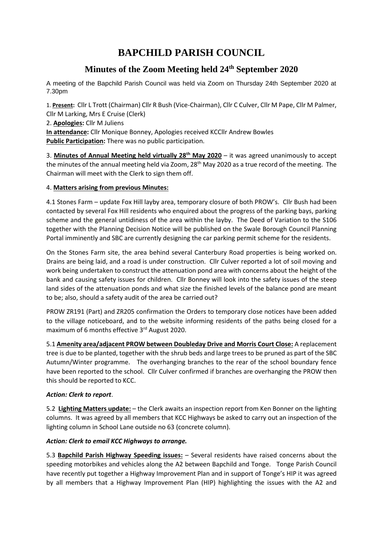# **BAPCHILD PARISH COUNCIL**

## **Minutes of the Zoom Meeting held 24th September 2020**

A meeting of the Bapchild Parish Council was held via Zoom on Thursday 24th September 2020 at 7.30pm

1. **Present:** Cllr L Trott (Chairman) Cllr R Bush (Vice-Chairman), Cllr C Culver, Cllr M Pape, Cllr M Palmer, Cllr M Larking, Mrs E Cruise (Clerk)

2. **Apologies:** Cllr M Juliens

**In attendance:** Cllr Monique Bonney, Apologies received KCCllr Andrew Bowles **Public Participation:** There was no public participation.

3. **Minutes of Annual Meeting held virtually 28th May 2020** – it was agreed unanimously to accept the minutes of the annual meeting held via Zoom, 28<sup>th</sup> May 2020 as a true record of the meeting. The Chairman will meet with the Clerk to sign them off.

## 4. **Matters arising from previous Minutes:**

4.1 Stones Farm – update Fox Hill layby area, temporary closure of both PROW's. Cllr Bush had been contacted by several Fox Hill residents who enquired about the progress of the parking bays, parking scheme and the general untidiness of the area within the layby. The Deed of Variation to the S106 together with the Planning Decision Notice will be published on the Swale Borough Council Planning Portal imminently and SBC are currently designing the car parking permit scheme for the residents.

On the Stones Farm site, the area behind several Canterbury Road properties is being worked on. Drains are being laid, and a road is under construction. Cllr Culver reported a lot of soil moving and work being undertaken to construct the attenuation pond area with concerns about the height of the bank and causing safety issues for children. Cllr Bonney will look into the safety issues of the steep land sides of the attenuation ponds and what size the finished levels of the balance pond are meant to be; also, should a safety audit of the area be carried out?

PROW ZR191 (Part) and ZR205 confirmation the Orders to temporary close notices have been added to the village noticeboard, and to the website informing residents of the paths being closed for a maximum of 6 months effective 3<sup>rd</sup> August 2020.

5.1 **Amenity area/adjacent PROW between Doubleday Drive and Morris Court Close:** A replacement tree is due to be planted, together with the shrub beds and large trees to be pruned as part of the SBC Autumn/Winter programme. The overhanging branches to the rear of the school boundary fence have been reported to the school. Cllr Culver confirmed if branches are overhanging the PROW then this should be reported to KCC.

## *Action: Clerk to report*.

5.2 **Lighting Matters update:** – the Clerk awaits an inspection report from Ken Bonner on the lighting columns. It was agreed by all members that KCC Highways be asked to carry out an inspection of the lighting column in School Lane outside no 63 (concrete column).

## *Action: Clerk to email KCC Highways to arrange.*

5.3 **Bapchild Parish Highway Speeding issues:** – Several residents have raised concerns about the speeding motorbikes and vehicles along the A2 between Bapchild and Tonge. Tonge Parish Council have recently put together a Highway Improvement Plan and in support of Tonge's HIP it was agreed by all members that a Highway Improvement Plan (HIP) highlighting the issues with the A2 and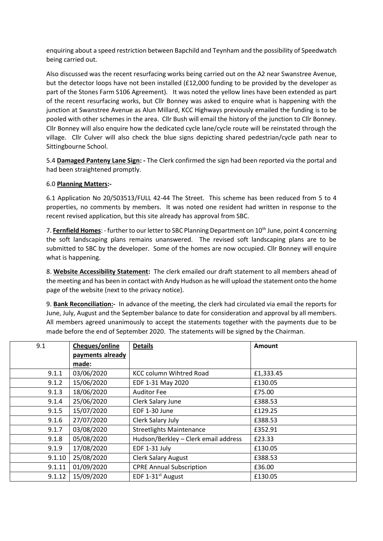enquiring about a speed restriction between Bapchild and Teynham and the possibility of Speedwatch being carried out.

Also discussed was the recent resurfacing works being carried out on the A2 near Swanstree Avenue, but the detector loops have not been installed (£12,000 funding to be provided by the developer as part of the Stones Farm S106 Agreement). It was noted the yellow lines have been extended as part of the recent resurfacing works, but Cllr Bonney was asked to enquire what is happening with the junction at Swanstree Avenue as Alun Millard, KCC Highways previously emailed the funding is to be pooled with other schemes in the area. Cllr Bush will email the history of the junction to Cllr Bonney. Cllr Bonney will also enquire how the dedicated cycle lane/cycle route will be reinstated through the village. Cllr Culver will also check the blue signs depicting shared pedestrian/cycle path near to Sittingbourne School.

5.4 **Damaged Panteny Lane Sign: -** The Clerk confirmed the sign had been reported via the portal and had been straightened promptly.

#### 6.0 **Planning Matters:-**

6.1 Application No 20/503513/FULL 42-44 The Street. This scheme has been reduced from 5 to 4 properties, no comments by members. It was noted one resident had written in response to the recent revised application, but this site already has approval from SBC.

7. **Fernfield Homes**: - further to our letter to SBC Planning Department on 10th June, point 4 concerning the soft landscaping plans remains unanswered. The revised soft landscaping plans are to be submitted to SBC by the developer. Some of the homes are now occupied. Cllr Bonney will enquire what is happening.

8. **Website Accessibility Statement:** The clerk emailed our draft statement to all members ahead of the meeting and has been in contact with Andy Hudson as he will upload the statement onto the home page of the website (next to the privacy notice).

9. **Bank Reconciliation:-** In advance of the meeting, the clerk had circulated via email the reports for June, July, August and the September balance to date for consideration and approval by all members. All members agreed unanimously to accept the statements together with the payments due to be made before the end of September 2020. The statements will be signed by the Chairman.

| 9.1    | Cheques/online   | <b>Details</b>                       | Amount    |
|--------|------------------|--------------------------------------|-----------|
|        | payments already |                                      |           |
|        | made:            |                                      |           |
| 9.1.1  | 03/06/2020       | <b>KCC column Wihtred Road</b>       | £1,333.45 |
| 9.1.2  | 15/06/2020       | EDF 1-31 May 2020                    | £130.05   |
| 9.1.3  | 18/06/2020       | <b>Auditor Fee</b>                   | £75.00    |
| 9.1.4  | 25/06/2020       | Clerk Salary June                    | £388.53   |
| 9.1.5  | 15/07/2020       | EDF 1-30 June                        | £129.25   |
| 9.1.6  | 27/07/2020       | Clerk Salary July                    | £388.53   |
| 9.1.7  | 03/08/2020       | <b>Streetlights Maintenance</b>      | £352.91   |
| 9.1.8  | 05/08/2020       | Hudson/Berkley - Clerk email address | £23.33    |
| 9.1.9  | 17/08/2020       | EDF 1-31 July                        | £130.05   |
| 9.1.10 | 25/08/2020       | <b>Clerk Salary August</b>           | £388.53   |
| 9.1.11 | 01/09/2020       | <b>CPRE Annual Subscription</b>      | £36.00    |
| 9.1.12 | 15/09/2020       | EDF 1-31 <sup>st</sup> August        | £130.05   |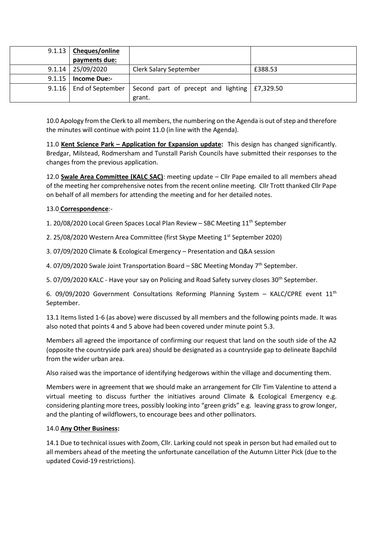|        | 9.1.13   Cheques/online   |                                                      |         |
|--------|---------------------------|------------------------------------------------------|---------|
|        | payments due:             |                                                      |         |
| 9.1.14 | 25/09/2020                | <b>Clerk Salary September</b>                        | £388.53 |
| 9.1.15 | <b>Income Due:-</b>       |                                                      |         |
|        | 9.1.16   End of September | Second part of precept and lighting $\mid$ £7,329.50 |         |
|        |                           | grant.                                               |         |

10.0 Apology from the Clerk to all members, the numbering on the Agenda is out of step and therefore the minutes will continue with point 11.0 (in line with the Agenda).

11.0 **Kent Science Park – Application for Expansion update:** This design has changed significantly. Bredgar, Milstead, Rodmersham and Tunstall Parish Councils have submitted their responses to the changes from the previous application.

12.0 **Swale Area Committee (KALC SAC)**: meeting update – Cllr Pape emailed to all members ahead of the meeting her comprehensive notes from the recent online meeting. Cllr Trott thanked Cllr Pape on behalf of all members for attending the meeting and for her detailed notes.

#### 13.0 **Correspondence**:-

1. 20/08/2020 Local Green Spaces Local Plan Review - SBC Meeting 11<sup>th</sup> September

2. 25/08/2020 Western Area Committee (first Skype Meeting 1st September 2020)

3. 07/09/2020 Climate & Ecological Emergency – Presentation and Q&A session

4. 07/09/2020 Swale Joint Transportation Board – SBC Meeting Monday 7th September.

5. 07/09/2020 KALC - Have your say on Policing and Road Safety survey closes 30<sup>th</sup> September.

6. 09/09/2020 Government Consultations Reforming Planning System - KALC/CPRE event  $11<sup>th</sup>$ September.

13.1 Items listed 1-6 (as above) were discussed by all members and the following points made. It was also noted that points 4 and 5 above had been covered under minute point 5.3.

Members all agreed the importance of confirming our request that land on the south side of the A2 (opposite the countryside park area) should be designated as a countryside gap to delineate Bapchild from the wider urban area.

Also raised was the importance of identifying hedgerows within the village and documenting them.

Members were in agreement that we should make an arrangement for Cllr Tim Valentine to attend a virtual meeting to discuss further the initiatives around Climate & Ecological Emergency e.g. considering planting more trees, possibly looking into "green grids" e.g. leaving grass to grow longer, and the planting of wildflowers, to encourage bees and other pollinators.

#### 14.0 **Any Other Business:**

14.1 Due to technical issues with Zoom, Cllr. Larking could not speak in person but had emailed out to all members ahead of the meeting the unfortunate cancellation of the Autumn Litter Pick (due to the updated Covid-19 restrictions).